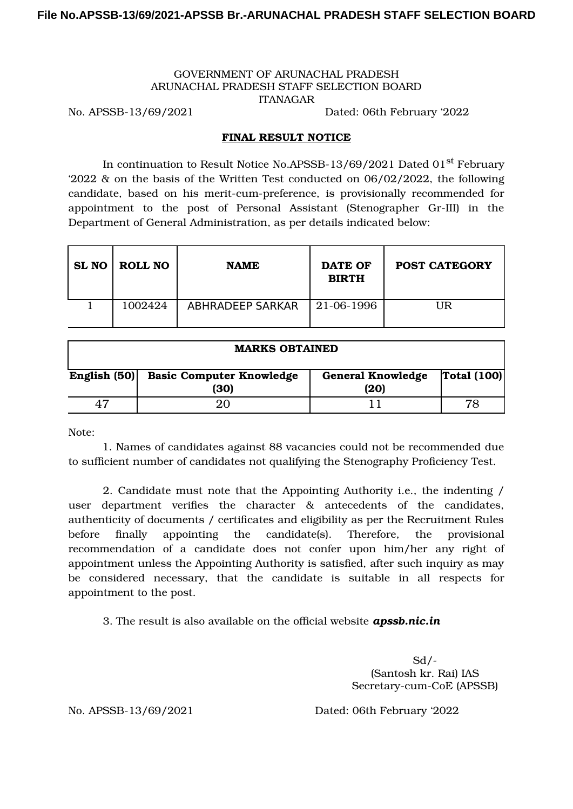## GOVERNMENT OF ARUNACHAL PRADESH ARUNACHAL PRADESH STAFF SELECTION BOARD ITANAGAR

No. APSSB-13/69/2021 Dated: 06th February '2022

## FINAL RESULT NOTICE

In continuation to Result Notice No.APSSB-13/69/2021 Dated 01<sup>st</sup> February '2022 & on the basis of the Written Test conducted on 06/02/2022, the following candidate, based on his merit-cum-preference, is provisionally recommended for appointment to the post of Personal Assistant (Stenographer Gr-III) in the Department of General Administration, as per details indicated below:

| SL NO ROLL NO | <b>NAME</b>             | <b>DATE OF</b><br><b>BIRTH</b> | <b>POST CATEGORY</b> |
|---------------|-------------------------|--------------------------------|----------------------|
| 1002424       | <b>ABHRADEEP SARKAR</b> | 21-06-1996                     | UR                   |

| <b>MARKS OBTAINED</b> |                                         |                                  |             |  |  |  |  |
|-----------------------|-----------------------------------------|----------------------------------|-------------|--|--|--|--|
| English $(50)$        | <b>Basic Computer Knowledge</b><br>(30) | <b>General Knowledge</b><br>(20) | Total (100) |  |  |  |  |
|                       | 20                                      |                                  |             |  |  |  |  |

Note:

1. Names of candidates against 88 vacancies could not be recommended due to sufficient number of candidates not qualifying the Stenography Proficiency Test.

2. Candidate must note that the Appointing Authority i.e., the indenting / user department verifies the character & antecedents of the candidates, authenticity of documents / certificates and eligibility as per the Recruitment Rules before finally appointing the candidate(s). Therefore, the provisional recommendation of a candidate does not confer upon him/her any right of appointment unless the Appointing Authority is satisfied, after such inquiry as may be considered necessary, that the candidate is suitable in all respects for appointment to the post.

3. The result is also available on the official website *apssb.nic.in*

 $Sd$  /-(Santosh kr. Rai) IAS Secretary-cum-CoE (APSSB)

No. APSSB-13/69/2021 Dated: 06th February '2022